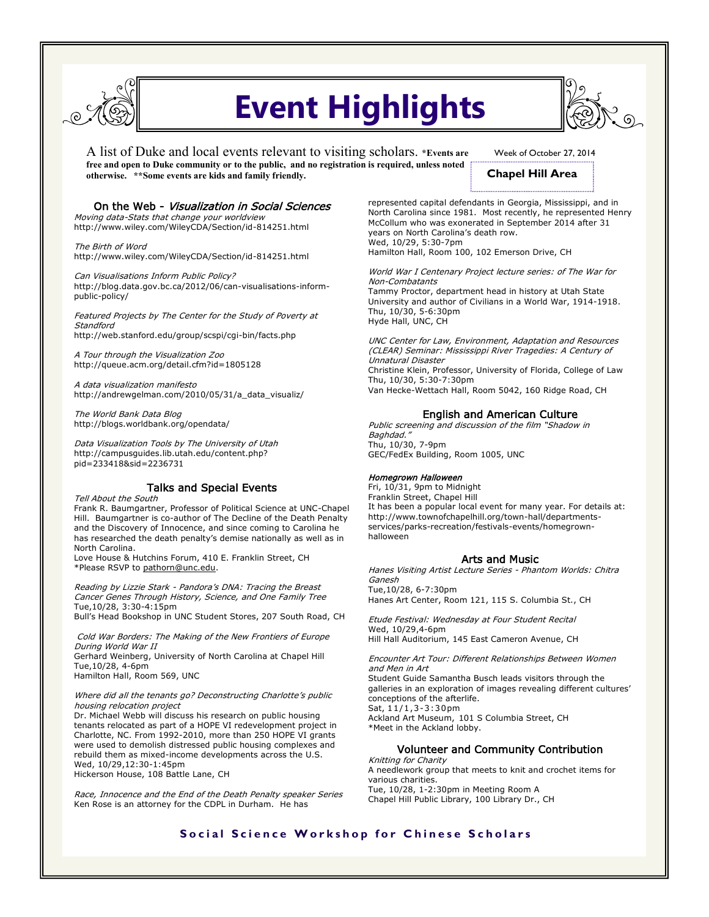

## **Event Highlights**

A list of Duke and local events relevant to visiting scholars. **\*Events are free and open to Duke community or to the public, and no registration is required, unless noted otherwise. \*\*Some events are kids and family friendly.** 

Week of October 27, 2014

**Chapel Hill Area**

### On the Web - Visualization in Social Sciences

Moving data-Stats that change your worldview http://www.wiley.com/WileyCDA/Section/id-814251.html

The Birth of Word http://www.wiley.com/WileyCDA/Section/id-814251.html

Can Visualisations Inform Public Policy? http://blog.data.gov.bc.ca/2012/06/can-visualisations-informpublic-policy/

Featured Projects by The Center for the Study of Poverty at Standford http://web.stanford.edu/group/scspi/cgi-bin/facts.php

A Tour through the Visualization Zoo http://queue.acm.org/detail.cfm?id=1805128

A data visualization manifesto http://andrewgelman.com/2010/05/31/a\_data\_visualiz/

The World Bank Data Blog http://blogs.worldbank.org/opendata/

Data Visualization Tools by The University of Utah http://campusguides.lib.utah.edu/content.php? pid=233418&sid=2236731

### Talks and Special Events

Tell About the South

Frank R. Baumgartner, Professor of Political Science at UNC-Chapel Hill. Baumgartner is co-author of The Decline of the Death Penalty and the Discovery of Innocence, and since coming to Carolina he has researched the death penalty's demise nationally as well as in North Carolina.

Love House & Hutchins Forum, 410 E. Franklin Street, CH \*Please RSVP to [pathorn@unc.edu.](mailto:pathorn@unc.edu)

Reading by Lizzie Stark - Pandora's DNA: Tracing the Breast Cancer Genes Through History, Science, and One Family Tree Tue,10/28, 3:30-4:15pm Bull's Head Bookshop in UNC Student Stores, 207 South Road, CH

Cold War Borders: The Making of the New Frontiers of Europe During World War II Gerhard Weinberg, University of North Carolina at Chapel Hill Tue,10/28, 4-6pm

Hamilton Hall, Room 569, UNC

#### Where did all the tenants go? Deconstructing Charlotte's public housing relocation project

Dr. Michael Webb will discuss his research on public housing tenants relocated as part of a HOPE VI redevelopment project in Charlotte, NC. From 1992-2010, more than 250 HOPE VI grants were used to demolish distressed public housing complexes and rebuild them as mixed-income developments across the U.S. Wed, 10/29,12:30-1:45pm Hickerson House, 108 Battle Lane, CH

Race, Innocence and the End of the Death Penalty speaker Series Ken Rose is an attorney for the CDPL in Durham. He has

represented capital defendants in Georgia, Mississippi, and in North Carolina since 1981. Most recently, he represented Henry McCollum who was exonerated in September 2014 after 31 years on North Carolina's death row. Wed, 10/29, 5:30-7pm Hamilton Hall, Room 100, 102 Emerson Drive, CH

World War I Centenary Project lecture series: of The War for Non-Combatants

Tammy Proctor, department head in history at Utah State University and author of Civilians in a World War, 1914-1918. Thu, 10/30, 5-6:30pm Hyde Hall, UNC, CH

UNC Center for Law, Environment, Adaptation and Resources (CLEAR) Seminar: Mississippi River Tragedies: A Century of Unnatural Disaster Christine Klein, Professor, University of Florida, College of Law Thu, 10/30, 5:30-7:30pm

Van Hecke-Wettach Hall, Room 5042, 160 Ridge Road, CH

### English and American Culture

Public screening and discussion of the film "Shadow in Baghdad." Thu, 10/30, 7-9pm GEC/FedEx Building, Room 1005, UNC

### Homegrown Halloween

Fri, 10/31, 9pm to Midnight Franklin Street, Chapel Hill It has been a popular local event for many year. For details at: http://www.townofchapelhill.org/town-hall/departmentsservices/parks-recreation/festivals-events/homegrownhalloween

### Arts and Music

Hanes Visiting Artist Lecture Series - Phantom Worlds: Chitra Ganesh Tue,10/28, 6-7:30pm

Hanes Art Center, Room 121, 115 S. Columbia St., CH

Etude Festival: Wednesday at Four Student Recital Wed, 10/29,4-6pm Hill Hall Auditorium, 145 East Cameron Avenue, CH

Encounter Art Tour: Different Relationships Between Women and Men in Art Student Guide Samantha Busch leads visitors through the galleries in an exploration of images revealing different cultures' conceptions of the afterlife. Sat, 11/1, 3-3: 30pm Ackland Art Museum, 101 S Columbia Street, CH \*Meet in the Ackland lobby.

### Volunteer and Community Contribution

Knitting for Charity A needlework group that meets to knit and crochet items for various charities. Tue, 10/28, 1-2:30pm in Meeting Room A Chapel Hill Public Library, 100 Library Dr., CH

## **Social Science Workshop for Chinese Scholars**